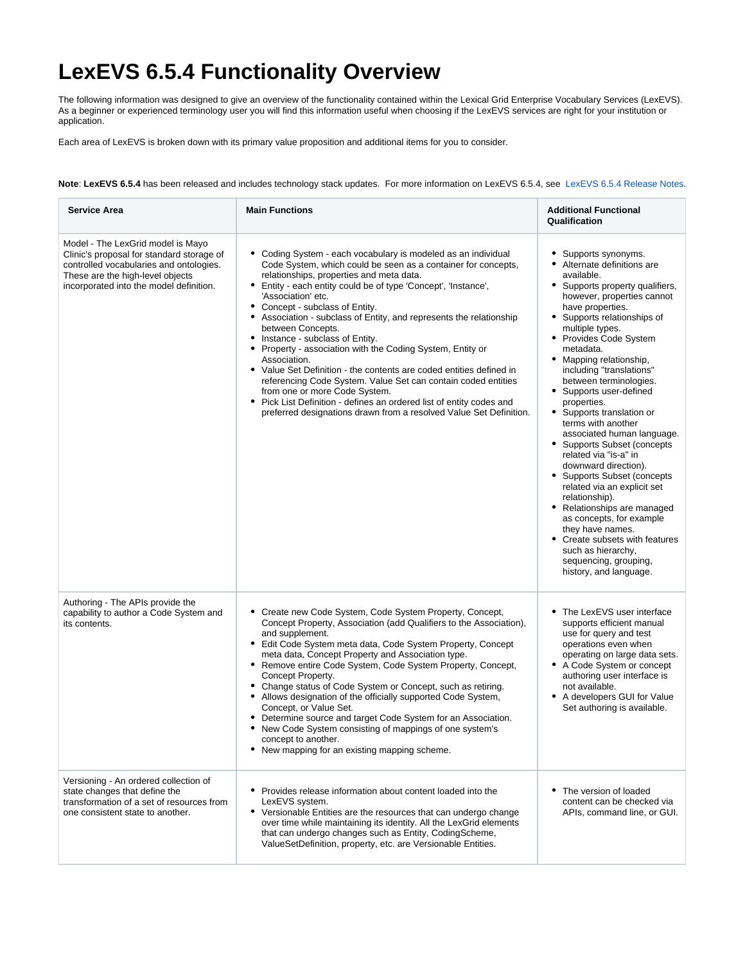## **LexEVS 6.5.4 Functionality Overview**

The following information was designed to give an overview of the functionality contained within the Lexical Grid Enterprise Vocabulary Services (LexEVS). As a beginner or experienced terminology user you will find this information useful when choosing if the LexEVS services are right for your institution or application.

Each area of LexEVS is broken down with its primary value proposition and additional items for you to consider.

**Note**: **LexEVS 6.5.4** has been released and includes technology stack updates. For more information on LexEVS 6.5.4, see [LexEVS 6.5.4 Release Notes](https://wiki.nci.nih.gov/display/LexEVS/LexEVS+6.5.4+Release+Notes).

| Service Area                                                                                                                                                                                             | <b>Main Functions</b>                                                                                                                                                                                                                                                                                                                                                                                                                                                                                                                                                                                                                                                                                                                                                                                                                          | <b>Additional Functional</b><br>Qualification                                                                                                                                                                                                                                                                                                                                                                                                                                                                                                                                                                                                                                                                                                                                                                   |
|----------------------------------------------------------------------------------------------------------------------------------------------------------------------------------------------------------|------------------------------------------------------------------------------------------------------------------------------------------------------------------------------------------------------------------------------------------------------------------------------------------------------------------------------------------------------------------------------------------------------------------------------------------------------------------------------------------------------------------------------------------------------------------------------------------------------------------------------------------------------------------------------------------------------------------------------------------------------------------------------------------------------------------------------------------------|-----------------------------------------------------------------------------------------------------------------------------------------------------------------------------------------------------------------------------------------------------------------------------------------------------------------------------------------------------------------------------------------------------------------------------------------------------------------------------------------------------------------------------------------------------------------------------------------------------------------------------------------------------------------------------------------------------------------------------------------------------------------------------------------------------------------|
| Model - The LexGrid model is Mayo<br>Clinic's proposal for standard storage of<br>controlled vocabularies and ontologies.<br>These are the high-level objects<br>incorporated into the model definition. | • Coding System - each vocabulary is modeled as an individual<br>Code System, which could be seen as a container for concepts,<br>relationships, properties and meta data.<br>Entity - each entity could be of type 'Concept', 'Instance',<br>'Association' etc.<br>• Concept - subclass of Entity.<br>Association - subclass of Entity, and represents the relationship<br>٠<br>between Concepts.<br>• Instance - subclass of Entity.<br>Property - association with the Coding System, Entity or<br>٠<br>Association.<br>• Value Set Definition - the contents are coded entities defined in<br>referencing Code System. Value Set can contain coded entities<br>from one or more Code System.<br>• Pick List Definition - defines an ordered list of entity codes and<br>preferred designations drawn from a resolved Value Set Definition. | Supports synonyms.<br>Alternate definitions are<br>available.<br>• Supports property qualifiers,<br>however, properties cannot<br>have properties.<br>• Supports relationships of<br>multiple types.<br>• Provides Code System<br>metadata.<br>• Mapping relationship,<br>including "translations"<br>between terminologies.<br>• Supports user-defined<br>properties.<br>• Supports translation or<br>terms with another<br>associated human language.<br>• Supports Subset (concepts<br>related via "is-a" in<br>downward direction).<br>• Supports Subset (concepts<br>related via an explicit set<br>relationship).<br>• Relationships are managed<br>as concepts, for example<br>they have names.<br>Create subsets with features<br>such as hierarchy,<br>sequencing, grouping,<br>history, and language. |
| Authoring - The APIs provide the<br>capability to author a Code System and<br>its contents.                                                                                                              | • Create new Code System, Code System Property, Concept,<br>Concept Property, Association (add Qualifiers to the Association),<br>and supplement.<br>• Edit Code System meta data, Code System Property, Concept<br>meta data, Concept Property and Association type.<br>• Remove entire Code System, Code System Property, Concept,<br>Concept Property.<br>• Change status of Code System or Concept, such as retiring.<br>• Allows designation of the officially supported Code System,<br>Concept, or Value Set.<br>• Determine source and target Code System for an Association.<br>New Code System consisting of mappings of one system's<br>٠<br>concept to another.<br>• New mapping for an existing mapping scheme.                                                                                                                   | • The LexEVS user interface<br>supports efficient manual<br>use for query and test<br>operations even when<br>operating on large data sets.<br>• A Code System or concept<br>authoring user interface is<br>not available.<br>• A developers GUI for Value<br>Set authoring is available.                                                                                                                                                                                                                                                                                                                                                                                                                                                                                                                       |
| Versioning - An ordered collection of<br>state changes that define the<br>transformation of a set of resources from<br>one consistent state to another.                                                  | • Provides release information about content loaded into the<br>LexEVS system.<br>• Versionable Entities are the resources that can undergo change<br>over time while maintaining its identity. All the LexGrid elements<br>that can undergo changes such as Entity, CodingScheme,<br>ValueSetDefinition, property, etc. are Versionable Entities.                                                                                                                                                                                                                                                                                                                                                                                                                                                                                             | • The version of loaded<br>content can be checked via<br>APIs. command line, or GUI.                                                                                                                                                                                                                                                                                                                                                                                                                                                                                                                                                                                                                                                                                                                            |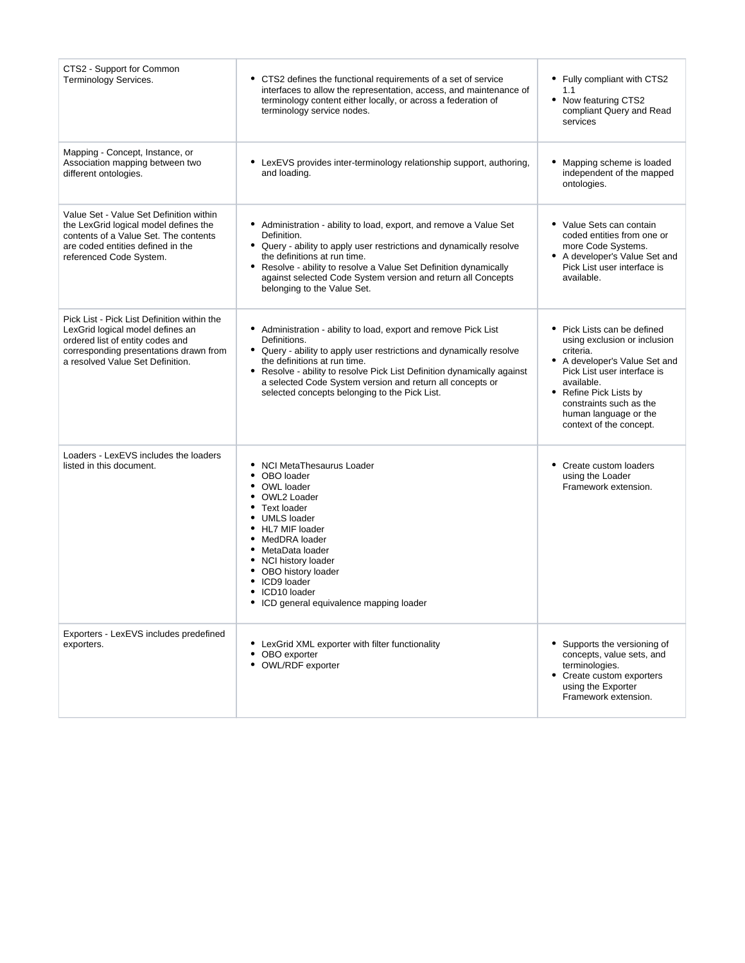| CTS2 - Support for Common<br>Terminology Services.                                                                                                                                                | • CTS2 defines the functional requirements of a set of service<br>interfaces to allow the representation, access, and maintenance of<br>terminology content either locally, or across a federation of<br>terminology service nodes.                                                                                                                                              | • Fully compliant with CTS2<br>1.1<br>• Now featuring CTS2<br>compliant Query and Read<br>services                                                                                                                                                              |
|---------------------------------------------------------------------------------------------------------------------------------------------------------------------------------------------------|----------------------------------------------------------------------------------------------------------------------------------------------------------------------------------------------------------------------------------------------------------------------------------------------------------------------------------------------------------------------------------|-----------------------------------------------------------------------------------------------------------------------------------------------------------------------------------------------------------------------------------------------------------------|
| Mapping - Concept, Instance, or<br>Association mapping between two<br>different ontologies.                                                                                                       | • LexEVS provides inter-terminology relationship support, authoring,<br>and loading.                                                                                                                                                                                                                                                                                             | • Mapping scheme is loaded<br>independent of the mapped<br>ontologies.                                                                                                                                                                                          |
| Value Set - Value Set Definition within<br>the LexGrid logical model defines the<br>contents of a Value Set. The contents<br>are coded entities defined in the<br>referenced Code System.         | • Administration - ability to load, export, and remove a Value Set<br>Definition.<br>• Query - ability to apply user restrictions and dynamically resolve<br>the definitions at run time.<br>• Resolve - ability to resolve a Value Set Definition dynamically<br>against selected Code System version and return all Concepts<br>belonging to the Value Set.                    | • Value Sets can contain<br>coded entities from one or<br>more Code Systems.<br>• A developer's Value Set and<br>Pick List user interface is<br>available.                                                                                                      |
| Pick List - Pick List Definition within the<br>LexGrid logical model defines an<br>ordered list of entity codes and<br>corresponding presentations drawn from<br>a resolved Value Set Definition. | • Administration - ability to load, export and remove Pick List<br>Definitions.<br>• Query - ability to apply user restrictions and dynamically resolve<br>the definitions at run time.<br>• Resolve - ability to resolve Pick List Definition dynamically against<br>a selected Code System version and return all concepts or<br>selected concepts belonging to the Pick List. | • Pick Lists can be defined<br>using exclusion or inclusion<br>criteria.<br>• A developer's Value Set and<br>Pick List user interface is<br>available.<br>• Refine Pick Lists by<br>constraints such as the<br>human language or the<br>context of the concept. |
| Loaders - LexEVS includes the loaders<br>listed in this document.                                                                                                                                 | • NCI MetaThesaurus Loader<br>OBO loader<br>• OWL loader<br>OWL2 Loader<br>Text loader<br>٠<br><b>UMLS</b> loader<br>HL7 MIF loader<br>MedDRA loader<br>٠<br>MetaData loader<br>• NCI history loader<br>• OBO history loader<br>ICD9 loader<br>ICD10 loader<br>ICD general equivalence mapping loader                                                                            | • Create custom loaders<br>using the Loader<br>Framework extension.                                                                                                                                                                                             |
| Exporters - LexEVS includes predefined<br>exporters.                                                                                                                                              | • LexGrid XML exporter with filter functionality<br>• OBO exporter<br>• OWL/RDF exporter                                                                                                                                                                                                                                                                                         | • Supports the versioning of<br>concepts, value sets, and<br>terminologies.<br>• Create custom exporters<br>using the Exporter<br>Framework extension.                                                                                                          |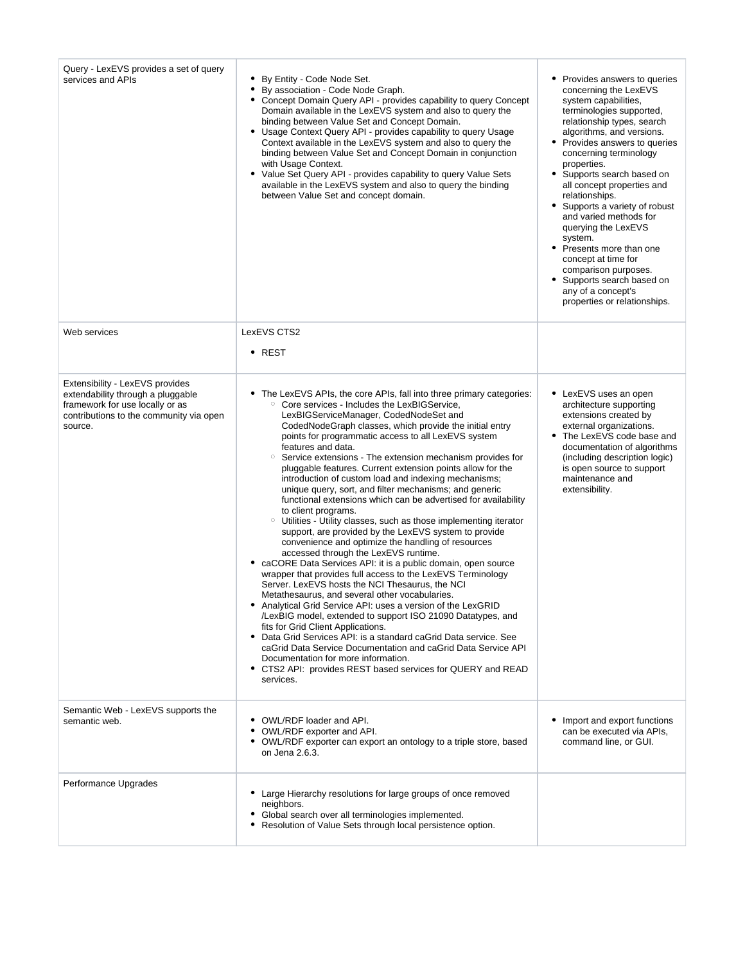| Query - LexEVS provides a set of query<br>services and APIs                                                                                                   | • By Entity - Code Node Set.<br>By association - Code Node Graph.<br>• Concept Domain Query API - provides capability to query Concept<br>Domain available in the LexEVS system and also to query the<br>binding between Value Set and Concept Domain.<br>• Usage Context Query API - provides capability to query Usage<br>Context available in the LexEVS system and also to query the<br>binding between Value Set and Concept Domain in conjunction<br>with Usage Context.<br>• Value Set Query API - provides capability to query Value Sets<br>available in the LexEVS system and also to query the binding<br>between Value Set and concept domain.                                                                                                                                                                                                                                                                                                                                                                                                                                                                                                                                                                                                                                                                                                                                                                                                                                                                                                                | Provides answers to queries<br>concerning the LexEVS<br>system capabilities,<br>terminologies supported,<br>relationship types, search<br>algorithms, and versions.<br>Provides answers to queries<br>concerning terminology<br>properties.<br>٠<br>Supports search based on<br>all concept properties and<br>relationships.<br>• Supports a variety of robust<br>and varied methods for<br>querying the LexEVS<br>system.<br>٠<br>Presents more than one<br>concept at time for<br>comparison purposes.<br>Supports search based on<br>any of a concept's<br>properties or relationships. |
|---------------------------------------------------------------------------------------------------------------------------------------------------------------|---------------------------------------------------------------------------------------------------------------------------------------------------------------------------------------------------------------------------------------------------------------------------------------------------------------------------------------------------------------------------------------------------------------------------------------------------------------------------------------------------------------------------------------------------------------------------------------------------------------------------------------------------------------------------------------------------------------------------------------------------------------------------------------------------------------------------------------------------------------------------------------------------------------------------------------------------------------------------------------------------------------------------------------------------------------------------------------------------------------------------------------------------------------------------------------------------------------------------------------------------------------------------------------------------------------------------------------------------------------------------------------------------------------------------------------------------------------------------------------------------------------------------------------------------------------------------|--------------------------------------------------------------------------------------------------------------------------------------------------------------------------------------------------------------------------------------------------------------------------------------------------------------------------------------------------------------------------------------------------------------------------------------------------------------------------------------------------------------------------------------------------------------------------------------------|
| Web services                                                                                                                                                  | LexEVS CTS2<br>• REST                                                                                                                                                                                                                                                                                                                                                                                                                                                                                                                                                                                                                                                                                                                                                                                                                                                                                                                                                                                                                                                                                                                                                                                                                                                                                                                                                                                                                                                                                                                                                     |                                                                                                                                                                                                                                                                                                                                                                                                                                                                                                                                                                                            |
| Extensibility - LexEVS provides<br>extendability through a pluggable<br>framework for use locally or as<br>contributions to the community via open<br>source. | • The LexEVS APIs, the core APIs, fall into three primary categories:<br>Core services - Includes the LexBIGService.<br>$\circ$<br>LexBIGServiceManager, CodedNodeSet and<br>CodedNodeGraph classes, which provide the initial entry<br>points for programmatic access to all LexEVS system<br>features and data.<br>Service extensions - The extension mechanism provides for<br>$\circ$<br>pluggable features. Current extension points allow for the<br>introduction of custom load and indexing mechanisms;<br>unique query, sort, and filter mechanisms; and generic<br>functional extensions which can be advertised for availability<br>to client programs.<br>$\circ$<br>Utilities - Utility classes, such as those implementing iterator<br>support, are provided by the LexEVS system to provide<br>convenience and optimize the handling of resources<br>accessed through the LexEVS runtime.<br>• caCORE Data Services API: it is a public domain, open source<br>wrapper that provides full access to the LexEVS Terminology<br>Server. LexEVS hosts the NCI Thesaurus, the NCI<br>Metathesaurus, and several other vocabularies.<br>Analytical Grid Service API: uses a version of the LexGRID<br>/LexBIG model, extended to support ISO 21090 Datatypes, and<br>fits for Grid Client Applications.<br>• Data Grid Services API: is a standard caGrid Data service. See<br>caGrid Data Service Documentation and caGrid Data Service API<br>Documentation for more information.<br>• CTS2 API: provides REST based services for QUERY and READ<br>services. | • LexEVS uses an open<br>architecture supporting<br>extensions created by<br>external organizations.<br>The LexEVS code base and<br>documentation of algorithms<br>(including description logic)<br>is open source to support<br>maintenance and<br>extensibility.                                                                                                                                                                                                                                                                                                                         |
| Semantic Web - LexEVS supports the<br>semantic web.                                                                                                           | • OWL/RDF loader and API.<br>• OWL/RDF exporter and API.<br>• OWL/RDF exporter can export an ontology to a triple store, based<br>on Jena 2.6.3.                                                                                                                                                                                                                                                                                                                                                                                                                                                                                                                                                                                                                                                                                                                                                                                                                                                                                                                                                                                                                                                                                                                                                                                                                                                                                                                                                                                                                          | Import and export functions<br>can be executed via APIs,<br>command line, or GUI.                                                                                                                                                                                                                                                                                                                                                                                                                                                                                                          |
| Performance Upgrades                                                                                                                                          | • Large Hierarchy resolutions for large groups of once removed<br>neighbors.<br>• Global search over all terminologies implemented.<br>• Resolution of Value Sets through local persistence option.                                                                                                                                                                                                                                                                                                                                                                                                                                                                                                                                                                                                                                                                                                                                                                                                                                                                                                                                                                                                                                                                                                                                                                                                                                                                                                                                                                       |                                                                                                                                                                                                                                                                                                                                                                                                                                                                                                                                                                                            |